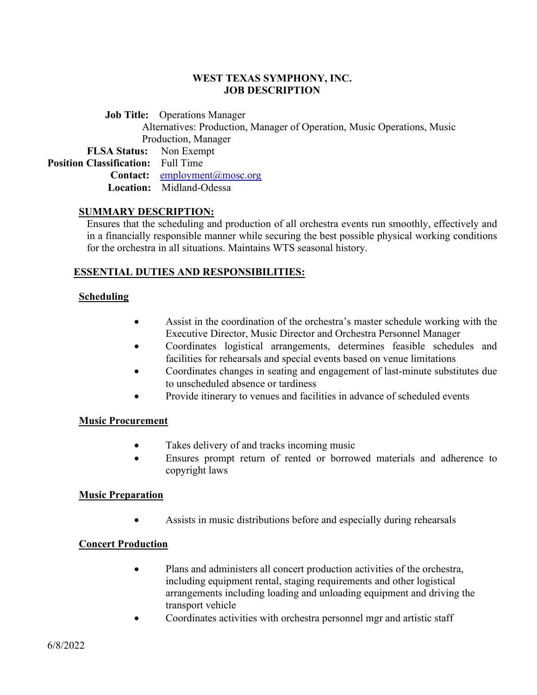### **WEST TEXAS SYMPHONY, INC. JOB DESCRIPTION**

 **Job Title:** Operations Manager Alternatives: Production, Manager of Operation, Music Operations, Music Production, Manager

 **FLSA Status:** Non Exempt **Position Classification:** Full Time Contact: [employment@mosc.org](mailto:employment@mosc.org) **Location:** Midland-Odessa

#### **SUMMARY DESCRIPTION:**

Ensures that the scheduling and production of all orchestra events run smoothly, effectively and in a financially responsible manner while securing the best possible physical working conditions for the orchestra in all situations. Maintains WTS seasonal history.

### **ESSENTIAL DUTIES AND RESPONSIBILITIES:**

### **Scheduling**

- Assist in the coordination of the orchestra's master schedule working with the Executive Director, Music Director and Orchestra Personnel Manager
- Coordinates logistical arrangements, determines feasible schedules and facilities for rehearsals and special events based on venue limitations
- Coordinates changes in seating and engagement of last-minute substitutes due to unscheduled absence or tardiness
- Provide itinerary to venues and facilities in advance of scheduled events

### **Music Procurement**

- Takes delivery of and tracks incoming music
- Ensures prompt return of rented or borrowed materials and adherence to copyright laws

#### **Music Preparation**

Assists in music distributions before and especially during rehearsals

### **Concert Production**

- Plans and administers all concert production activities of the orchestra, including equipment rental, staging requirements and other logistical arrangements including loading and unloading equipment and driving the transport vehicle
- Coordinates activities with orchestra personnel mgr and artistic staff